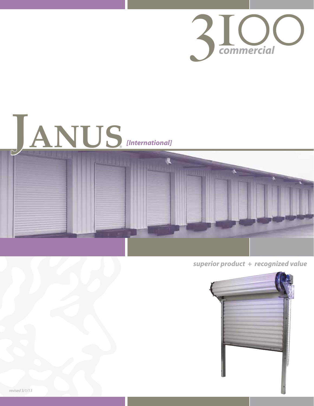





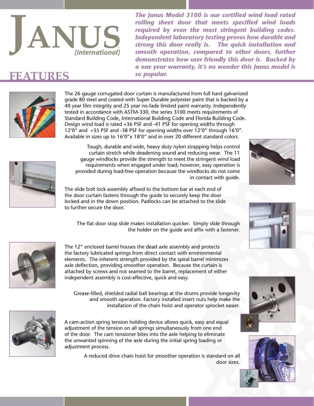

*The Janus Model 3100 is our certified wind load rated rolling sheet door that meets specified wind loads required by even the most stringent building codes. Independent laboratory testing proves how durable and strong this door really is. The quick installation and smooth operation, compared to other doors, further demonstrates how user friendly this door is. Backed by a one year warranty, it's no wonder this Janus model is* 

## **FEATURES** so popular.



The 26 gauge corrugated door curtain is manufactured from full hard galvanized grade 80 steel and coated with Super Durable polyester paint that is backed by a 40 year film integrity and 25 year no-fade limited paint warranty. Independently tested in accordance with ASTM-330, the series 3100 meets requirements of Standard Building Code, International Building Code and Florida Building Code. Design wind load is rated +36 PSF and -41 PSF for opening widths through 12'0" and +35 PSF and -38 PSF for opening widths over 12'0" through 16'0". Available in sizes up to 16'0"x 18'0" and in over 20 different standard colors.

Tough, durable and wide, heavy duty nylon strapping helps control curtain stretch while deadening sound and reducing wear. The 11 gauge windlocks provide the strength to meet the stringent wind load requirements when engaged under load; however, easy operation is provided during load-free operation because the windlocks do not come in contact with guide.





The slide bolt lock assembly affixed to the bottom bar at each end of the door curtain fastens through the guide to securely keep the door locked and in the down position. Padlocks can be attached to the slide to further secure the door.

The flat door stop slide makes installation quicker. Simply slide through the holder on the guide and affix with a fastener.



The 12" enclosed barrel houses the dead axle assembly and protects the factory lubricated springs from direct contact with environmental elements. The inherent strength provided by the spiral barrel minimizes axle deflection, providing smoother operation. Because the curtain is attached by screws and not seamed to the barrel, replacement of either independent assembly is cost-effective, quick and easy.

Grease-filled, shielded radial ball bearings at the drums provide longevity and smooth operation. Factory installed insert nuts help make the installation of the chain hoist and operator sprocket easier.



A cam-action spring tension holding device allows quick, easy and equal adjustment of the tension on all springs simultaneously from one end of the door. The cam tensioner bites into the axle helping to eliminate the unwanted spinning of the axle during the initial spring loading or adjustment process.

> A reduced drive chain hoist for smoother operation is standard on all door sizes.





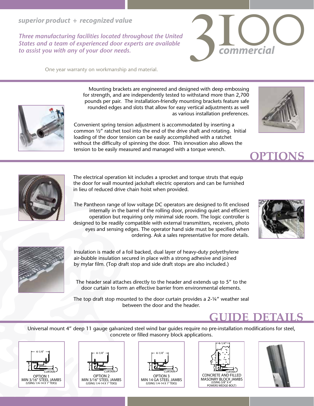#### *superior product + recognized value*

*Three manufacturing facilities located throughout the United States and a team of experienced door experts are available to assist you with any of your door needs.*

One year warranty on workmanship and material.



3100 *commercial*



Mounting brackets are engineered and designed with deep embossing for strength, and are independently tested to withstand more than 2,700 pounds per pair. The installation-friendly mounting brackets feature safe rounded edges and slots that allow for easy vertical adjustments as well as various installation preferences.

Convenient spring tension adjustment is accommodated by inserting a common ½" ratchet tool into the end of the drive shaft and rotating. Initial loading of the door tension can be easily accomplished with a ratchet without the difficulty of spinning the door. This innovation also allows the tension to be easily measured and managed with a torque wrench.





The electrical operation kit includes a sprocket and torque struts that equip the door for wall mounted jackshaft electric operators and can be furnished in lieu of reduced drive chain hoist when provided.

The Pantheon range of low voltage DC operators are designed to fit enclosed internally in the barrel of the rolling door, providing quiet and efficient operation but requiring only minimal side room. The logic controller is designed to be readily compatible with external transmitters, receivers, photo eyes and sensing edges. The operator hand side must be specified when ordering. Ask a sales representative for more details.





Insulation is made of a foil backed, dual layer of heavy-duty polyethylene air-bubble insulation secured in place with a strong adhesive and joined by mylar film. (Top draft stop and side draft stops are also included.)

The header seal attaches directly to the header and extends up to 5" to the door curtain to form an effective barrier from environmental elements.

The top draft stop mounted to the door curtain provides a 2-¼" weather seal between the door and the header.

## **guide details**

Universal mount 4" deep 11 gauge galvanized steel wind bar guides require no pre-installation modifications for steel, concrete or filled masonry block applications.